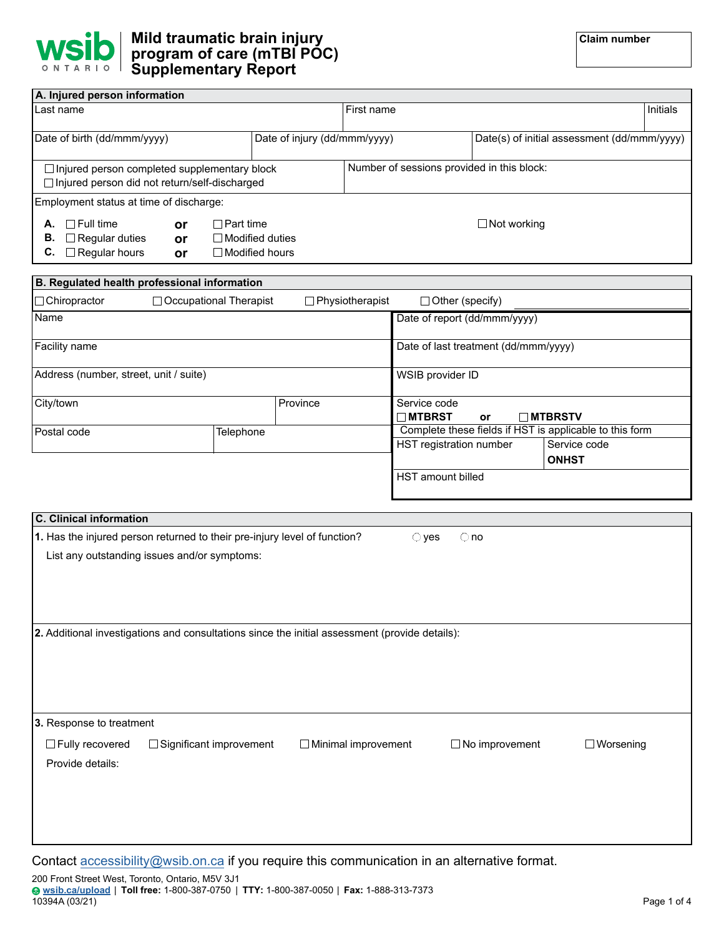

| A. Injured person information                               |           |                               |  |                                            |                        |                                             |  |  |
|-------------------------------------------------------------|-----------|-------------------------------|--|--------------------------------------------|------------------------|---------------------------------------------|--|--|
| Last name                                                   |           |                               |  | First name                                 |                        |                                             |  |  |
|                                                             |           |                               |  |                                            |                        |                                             |  |  |
| Date of birth (dd/mmm/yyyy)<br>Date of injury (dd/mmm/yyyy) |           |                               |  |                                            |                        | Date(s) of initial assessment (dd/mmm/yyyy) |  |  |
|                                                             |           |                               |  |                                            |                        |                                             |  |  |
| $\Box$ Injured person completed supplementary block         |           |                               |  | Number of sessions provided in this block: |                        |                                             |  |  |
| Injured person did not return/self-discharged               |           |                               |  |                                            |                        |                                             |  |  |
| Employment status at time of discharge:                     |           |                               |  |                                            |                        |                                             |  |  |
| $\Box$ Full time<br>А.                                      | <b>or</b> | ⊟Part time                    |  |                                            |                        | $\Box$ Not working                          |  |  |
| $\Box$ Regular duties<br>В.                                 | <b>or</b> | ⊟Modified duties              |  |                                            |                        |                                             |  |  |
| $\Box$ Regular hours<br>C.                                  | <b>or</b> | $\Box$ Modified hours         |  |                                            |                        |                                             |  |  |
|                                                             |           |                               |  |                                            |                        |                                             |  |  |
| B. Regulated health professional information                |           |                               |  |                                            |                        |                                             |  |  |
| Chiropractor                                                |           | <b>Occupational Therapist</b> |  | Physiotherapist                            | $\Box$ Other (specify) |                                             |  |  |
|                                                             |           |                               |  |                                            |                        |                                             |  |  |

| Name                                   |           |  |                                                         | Date of report (dd/mmm/yyyy) |  |  |
|----------------------------------------|-----------|--|---------------------------------------------------------|------------------------------|--|--|
| Facility name                          |           |  | Date of last treatment (dd/mmm/yyyy)                    |                              |  |  |
| Address (number, street, unit / suite) |           |  | WSIB provider ID                                        |                              |  |  |
| City/town                              |           |  | Service code<br>$\blacksquare$ MTBRST<br>or             | <b>□ MTBRSTV</b>             |  |  |
| Postal code                            | Telephone |  | Complete these fields if HST is applicable to this form |                              |  |  |
|                                        |           |  | HST registration number                                 | Service code                 |  |  |
|                                        |           |  |                                                         | <b>ONHST</b>                 |  |  |
|                                        |           |  | HST amount billed                                       |                              |  |  |

| <b>C.</b> Clinical information |                                                                                                |                            |                |                       |                  |
|--------------------------------|------------------------------------------------------------------------------------------------|----------------------------|----------------|-----------------------|------------------|
|                                | 1. Has the injured person returned to their pre-injury level of function?                      |                            | $\bigcirc$ yes | $\bigcirc$ no         |                  |
|                                | List any outstanding issues and/or symptoms:                                                   |                            |                |                       |                  |
|                                |                                                                                                |                            |                |                       |                  |
|                                |                                                                                                |                            |                |                       |                  |
|                                |                                                                                                |                            |                |                       |                  |
|                                | 2. Additional investigations and consultations since the initial assessment (provide details): |                            |                |                       |                  |
|                                |                                                                                                |                            |                |                       |                  |
|                                |                                                                                                |                            |                |                       |                  |
|                                |                                                                                                |                            |                |                       |                  |
|                                |                                                                                                |                            |                |                       |                  |
| 3. Response to treatment       |                                                                                                |                            |                |                       |                  |
| Fully recovered                | $\Box$ Significant improvement                                                                 | $\Box$ Minimal improvement |                | $\Box$ No improvement | $\Box$ Worsening |
| Provide details:               |                                                                                                |                            |                |                       |                  |
|                                |                                                                                                |                            |                |                       |                  |
|                                |                                                                                                |                            |                |                       |                  |
|                                |                                                                                                |                            |                |                       |                  |
|                                |                                                                                                |                            |                |                       |                  |
|                                | $Contost$ accordibility own be an equipment this communication in an elternative format        |                            |                |                       |                  |

Contact  $\frac{accessibility@wsib.on.ca}{new}$  if you require this communication in an alternative format.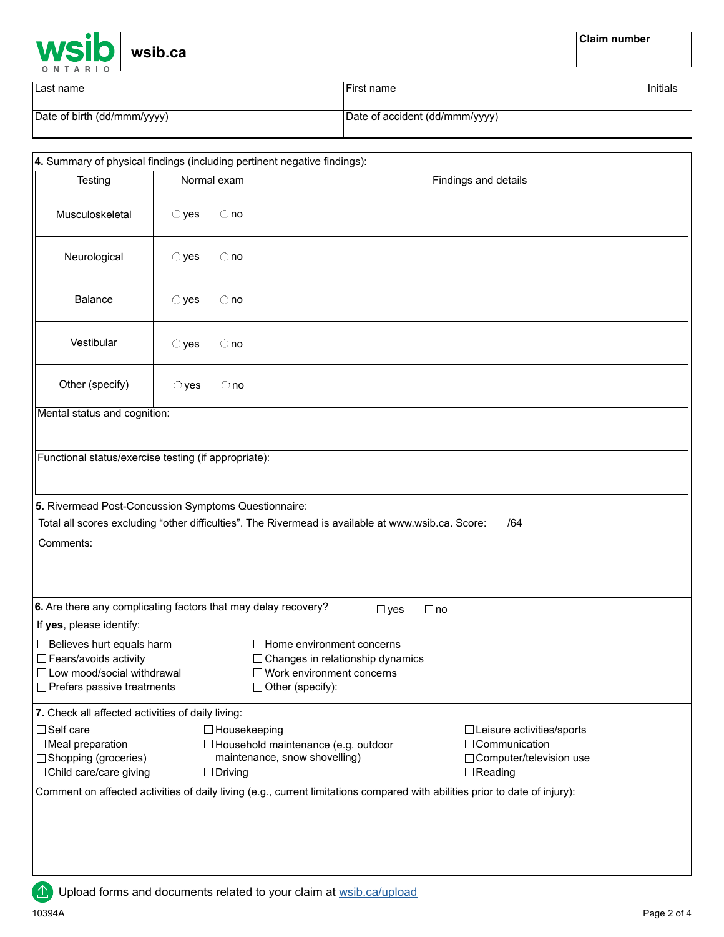

| Last name                   | First name                     | <sup>∣</sup> Initials |
|-----------------------------|--------------------------------|-----------------------|
| Date of birth (dd/mmm/yyyy) | Date of accident (dd/mmm/yyyy) |                       |

|                                                                |                                 | 4. Summary of physical findings (including pertinent negative findings):                                                    |                                             |
|----------------------------------------------------------------|---------------------------------|-----------------------------------------------------------------------------------------------------------------------------|---------------------------------------------|
| Testing                                                        | Normal exam                     |                                                                                                                             | Findings and details                        |
| Musculoskeletal                                                | $\bigcirc$ yes<br>$\bigcirc$ no |                                                                                                                             |                                             |
| Neurological                                                   | $\bigcirc$ yes<br>$\bigcirc$ no |                                                                                                                             |                                             |
| <b>Balance</b>                                                 | $\bigcirc$ yes<br>$\bigcirc$ no |                                                                                                                             |                                             |
| Vestibular                                                     | $\bigcirc$ yes<br>$\bigcirc$ no |                                                                                                                             |                                             |
| Other (specify)                                                | $\bigcirc$ yes<br>$\bigcirc$ no |                                                                                                                             |                                             |
| Mental status and cognition:                                   |                                 |                                                                                                                             |                                             |
|                                                                |                                 |                                                                                                                             |                                             |
| Functional status/exercise testing (if appropriate):           |                                 |                                                                                                                             |                                             |
| 5. Rivermead Post-Concussion Symptoms Questionnaire:           |                                 |                                                                                                                             |                                             |
|                                                                |                                 | Total all scores excluding "other difficulties". The Rivermead is available at www.wsib.ca. Score:                          | /64                                         |
| Comments:                                                      |                                 |                                                                                                                             |                                             |
|                                                                |                                 |                                                                                                                             |                                             |
|                                                                |                                 |                                                                                                                             |                                             |
| 6. Are there any complicating factors that may delay recovery? |                                 | $\square$ yes                                                                                                               | $\Box$ no                                   |
| If yes, please identify:                                       |                                 |                                                                                                                             |                                             |
| Believes hurt equals harm<br>□ Fears/avoids activity           |                                 | $\Box$ Home environment concerns<br>□ Changes in relationship dynamics                                                      |                                             |
| □ Low mood/social withdrawal                                   |                                 | $\Box$ Work environment concerns                                                                                            |                                             |
| Prefers passive treatments                                     |                                 | $\Box$ Other (specify):                                                                                                     |                                             |
| 7. Check all affected activities of daily living:              |                                 |                                                                                                                             |                                             |
| □ Self care                                                    |                                 | □ Housekeeping                                                                                                              | □ Leisure activities/sports                 |
| $\Box$ Meal preparation                                        |                                 | □ Household maintenance (e.g. outdoor<br>maintenance, snow shovelling)                                                      | □ Communication                             |
| Shopping (groceries)<br>□ Child care/care giving               | $\Box$ Driving                  |                                                                                                                             | □ Computer/television use<br>$\Box$ Reading |
|                                                                |                                 | Comment on affected activities of daily living (e.g., current limitations compared with abilities prior to date of injury): |                                             |
|                                                                |                                 |                                                                                                                             |                                             |
|                                                                |                                 |                                                                                                                             |                                             |
|                                                                |                                 |                                                                                                                             |                                             |
|                                                                |                                 |                                                                                                                             |                                             |
|                                                                |                                 |                                                                                                                             |                                             |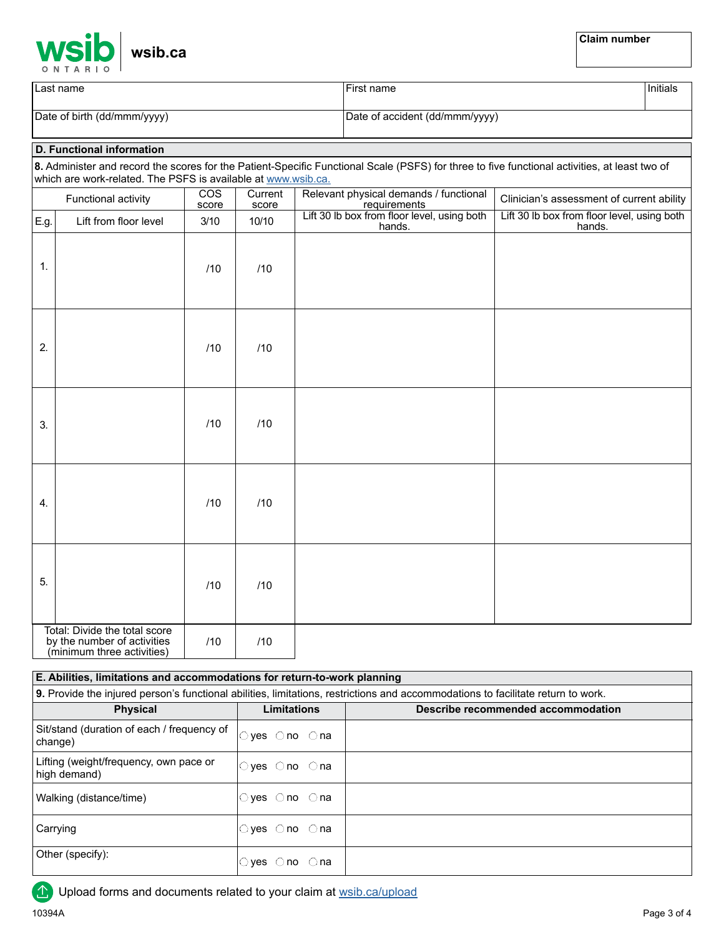|   |               |  |  |  | <b>WSİb</b> wsib.ca |
|---|---------------|--|--|--|---------------------|
| C | <b>NTARIO</b> |  |  |  |                     |

| Last name                   | First name                     | Initials |
|-----------------------------|--------------------------------|----------|
| Date of birth (dd/mmm/yyyy) | Date of accident (dd/mmm/yyyy) |          |

## **D. Functional information**

**8.** Administer and record the scores for the Patient-Specific Functional Scale (PSFS) for three to five functional activities, at least two of which are work-related. The PSFS is available at [www.wsib.ca.](http://www.wsib.ca.)

|                    | Functional activity                                                                        | <b>COS</b><br>score | Current<br>score | Relevant physical demands / functional<br>requirements | Clinician's assessment of current ability             |
|--------------------|--------------------------------------------------------------------------------------------|---------------------|------------------|--------------------------------------------------------|-------------------------------------------------------|
| E.g.               | Lift from floor level                                                                      | 3/10                | 10/10            | Lift 30 lb box from floor level, using both<br>hands.  | Lift 30 lb box from floor level, using both<br>hands. |
| 1.                 |                                                                                            | /10                 | /10              |                                                        |                                                       |
| 2.                 |                                                                                            | /10                 | /10              |                                                        |                                                       |
| 3.                 |                                                                                            | /10                 | /10              |                                                        |                                                       |
| $\boldsymbol{4}$ . |                                                                                            | /10                 | /10              |                                                        |                                                       |
| 5.                 |                                                                                            | /10                 | /10              |                                                        |                                                       |
|                    | Total: Divide the total score<br>by the number of activities<br>(minimum three activities) | /10                 | /10              |                                                        |                                                       |

**9.** Provide the injured person's functional abilities, limitations, restrictions and accommodations to facilitate return to work. **Physical Limitations Limitations Describe recommended accommodation** Sit/stand (duration of each / frequency of change) Lifting (weight/frequency, own pace or high demand) Walking (distance/time) **Carrying** Other (specify): **E. Abilities, limitations and accommodations for return-to-work planning**  yes ◯no ◯na yes ◯no ◯na yes ⊜no ⊝na yes ◯no ◯na yes ◯no ◯na